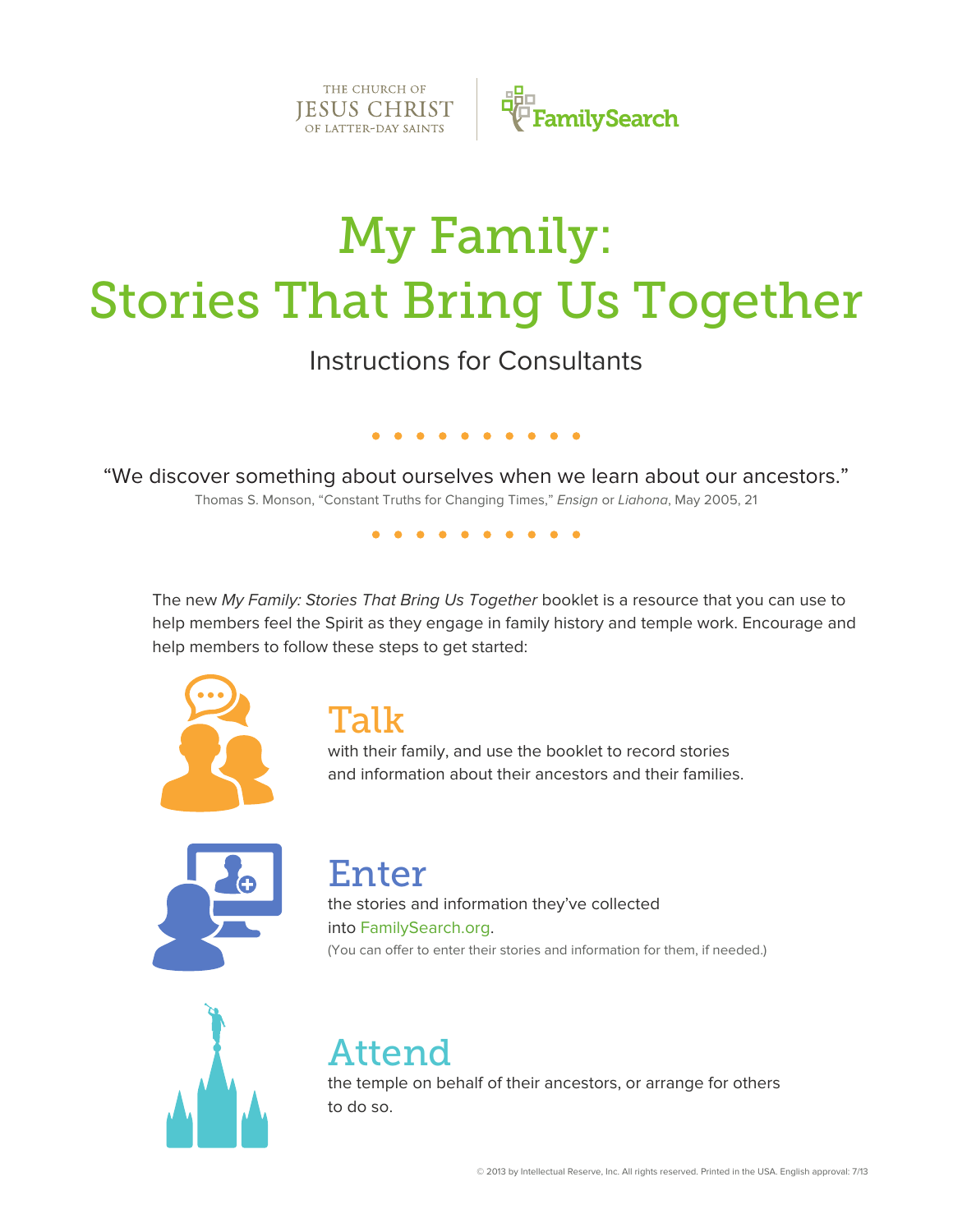

# My Family: Stories That Bring Us Together

Instructions for Consultants

"We discover something about ourselves when we learn about our ancestors." Thomas S. Monson, "Constant Truths for Changing Times," *Ensign* or *Liahona*, May 2005, 21

. . . . . . . .

. . . . . . . . . .

The new *My Family: Stories That Bring Us Together* booklet is a resource that you can use to help members feel the Spirit as they engage in family history and temple work. Encourage and help members to follow these steps to get started:



#### Talk

with their family, and use the booklet to record stories and information about their ancestors and their families.



### Enter

the stories and information they've collected into FamilySearch.org. (You can offer to enter their stories and information for them, if needed.)



## Attend

the temple on behalf of their ancestors, or arrange for others to do so.